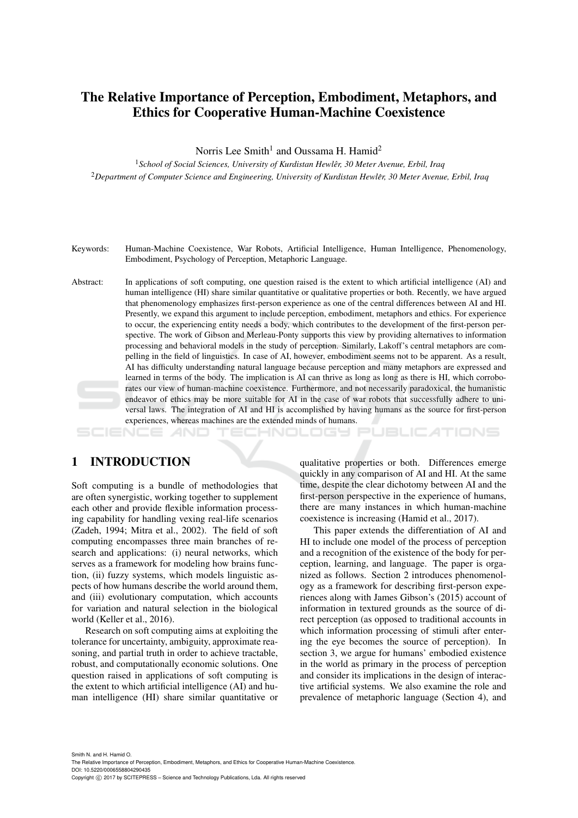# The Relative Importance of Perception, Embodiment, Metaphors, and Ethics for Cooperative Human-Machine Coexistence

Norris Lee Smith<sup>1</sup> and Oussama H. Hamid<sup>2</sup>

<sup>1</sup> School of Social Sciences, University of Kurdistan Hewlêr, 30 Meter Avenue, Erbil, Iraq <sup>2</sup>*Department of Computer Science and Engineering, University of Kurdistan Hewler, 30 Meter Avenue, Erbil, Iraq ˆ*

- Keywords: Human-Machine Coexistence, War Robots, Artificial Intelligence, Human Intelligence, Phenomenology, Embodiment, Psychology of Perception, Metaphoric Language.
- Abstract: In applications of soft computing, one question raised is the extent to which artificial intelligence (AI) and human intelligence (HI) share similar quantitative or qualitative properties or both. Recently, we have argued that phenomenology emphasizes first-person experience as one of the central differences between AI and HI. Presently, we expand this argument to include perception, embodiment, metaphors and ethics. For experience to occur, the experiencing entity needs a body, which contributes to the development of the first-person perspective. The work of Gibson and Merleau-Ponty supports this view by providing alternatives to information processing and behavioral models in the study of perception. Similarly, Lakoff's central metaphors are compelling in the field of linguistics. In case of AI, however, embodiment seems not to be apparent. As a result, AI has difficulty understanding natural language because perception and many metaphors are expressed and learned in terms of the body. The implication is AI can thrive as long as long as there is HI, which corroborates our view of human-machine coexistence. Furthermore, and not necessarily paradoxical, the humanistic endeavor of ethics may be more suitable for AI in the case of war robots that successfully adhere to universal laws. The integration of AI and HI is accomplished by having humans as the source for first-person experiences, whereas machines are the extended minds of humans.

#### HNOLOGY PUBLIC ATIONS

### 1 INTRODUCTION

Soft computing is a bundle of methodologies that are often synergistic, working together to supplement each other and provide flexible information processing capability for handling vexing real-life scenarios (Zadeh, 1994; Mitra et al., 2002). The field of soft computing encompasses three main branches of research and applications: (i) neural networks, which serves as a framework for modeling how brains function, (ii) fuzzy systems, which models linguistic aspects of how humans describe the world around them, and (iii) evolutionary computation, which accounts for variation and natural selection in the biological world (Keller et al., 2016).

Research on soft computing aims at exploiting the tolerance for uncertainty, ambiguity, approximate reasoning, and partial truth in order to achieve tractable, robust, and computationally economic solutions. One question raised in applications of soft computing is the extent to which artificial intelligence (AI) and human intelligence (HI) share similar quantitative or qualitative properties or both. Differences emerge quickly in any comparison of AI and HI. At the same time, despite the clear dichotomy between AI and the first-person perspective in the experience of humans, there are many instances in which human-machine coexistence is increasing (Hamid et al., 2017).

This paper extends the differentiation of AI and HI to include one model of the process of perception and a recognition of the existence of the body for perception, learning, and language. The paper is organized as follows. Section 2 introduces phenomenology as a framework for describing first-person experiences along with James Gibson's (2015) account of information in textured grounds as the source of direct perception (as opposed to traditional accounts in which information processing of stimuli after entering the eye becomes the source of perception). In section 3, we argue for humans' embodied existence in the world as primary in the process of perception and consider its implications in the design of interactive artificial systems. We also examine the role and prevalence of metaphoric language (Section 4), and

Smith N. and H. Hamid O. The Relative Importance of Perception, Embodiment, Metaphors, and Ethics for Cooperative Human-Machine Coexistence. DOI: 10.5220/0006558804290435 Copyright (C) 2017 by SCITEPRESS - Science and Technology Publications, Lda. All rights reserved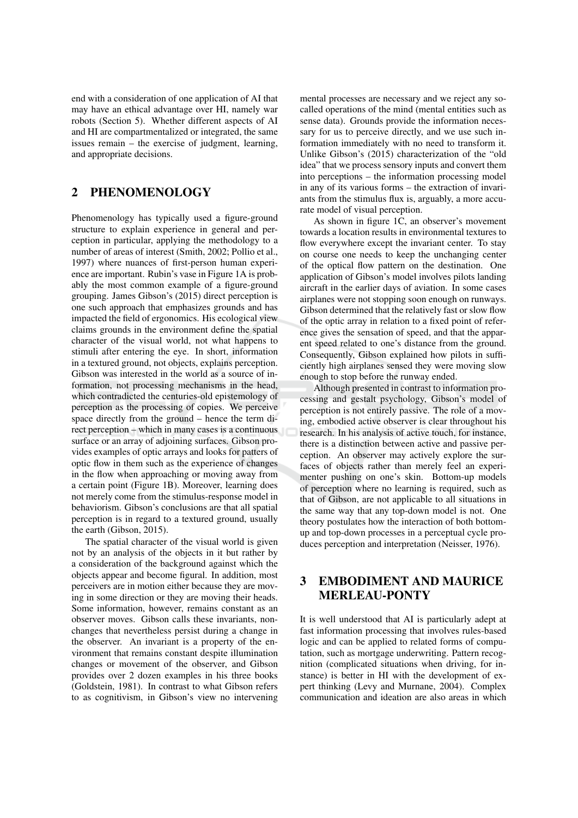end with a consideration of one application of AI that may have an ethical advantage over HI, namely war robots (Section 5). Whether different aspects of AI and HI are compartmentalized or integrated, the same issues remain – the exercise of judgment, learning, and appropriate decisions.

#### $\mathbf{2}$ **PHENOMENOLOGY**

Phenomenology has typically used a figure-ground structure to explain experience in general and perception in particular, applying the methodology to a number of areas of interest (Smith, 2002; Pollio et al., 1997) where nuances of first-person human experience are important. Rubin's vase in Figure 1A is probably the most common example of a figure-ground grouping. James Gibson's (2015) direct perception is one such approach that emphasizes grounds and has impacted the field of ergonomics. His ecological view claims grounds in the environment define the spatial character of the visual world, not what happens to stimuli after entering the eye. In short, information in a textured ground, not objects, explains perception. Gibson was interested in the world as a source of information, not processing mechanisms in the head, which contradicted the centuries-old epistemology of perception as the processing of copies. We perceive space directly from the ground – hence the term direct perception – which in many cases is a continuous surface or an array of adjoining surfaces. Gibson provides examples of optic arrays and looks for patters of optic flow in them such as the experience of changes in the flow when approaching or moving away from a certain point (Figure 1B). Moreover, learning does not merely come from the stimulus-response model in behaviorism. Gibson's conclusions are that all spatial perception is in regard to a textured ground, usually the earth (Gibson, 2015).

The spatial character of the visual world is given not by an analysis of the objects in it but rather by a consideration of the background against which the objects appear and become figural. In addition, most perceivers are in motion either because they are moving in some direction or they are moving their heads. Some information, however, remains constant as an observer moves. Gibson calls these invariants, nonchanges that nevertheless persist during a change in the observer. An invariant is a property of the environment that remains constant despite illumination changes or movement of the observer, and Gibson provides over 2 dozen examples in his three books (Goldstein, 1981). In contrast to what Gibson refers to as cognitivism, in Gibson's view no intervening mental processes are necessary and we reject any socalled operations of the mind (mental entities such as sense data). Grounds provide the information necessary for us to perceive directly, and we use such information immediately with no need to transform it. Unlike Gibson's (2015) characterization of the "old idea" that we process sensory inputs and convert them into perceptions – the information processing model in any of its various forms – the extraction of invariants from the stimulus flux is, arguably, a more accurate model of visual perception.

As shown in figure 1C, an observer's movement towards a location results in environmental textures to flow everywhere except the invariant center. To stay on course one needs to keep the unchanging center of the optical flow pattern on the destination. One application of Gibson's model involves pilots landing aircraft in the earlier days of aviation. In some cases airplanes were not stopping soon enough on runways. Gibson determined that the relatively fast or slow flow of the optic array in relation to a fixed point of reference gives the sensation of speed, and that the apparent speed related to one's distance from the ground. Consequently, Gibson explained how pilots in sufficiently high airplanes sensed they were moving slow enough to stop before the runway ended.

Although presented in contrast to information processing and gestalt psychology, Gibson's model of perception is not entirely passive. The role of a moving, embodied active observer is clear throughout his research. In his analysis of active touch, for instance, there is a distinction between active and passive perception. An observer may actively explore the surfaces of objects rather than merely feel an experimenter pushing on one's skin. Bottom-up models of perception where no learning is required, such as that of Gibson, are not applicable to all situations in the same way that any top-down model is not. One theory postulates how the interaction of both bottomup and top-down processes in a perceptual cycle produces perception and interpretation (Neisser, 1976).

### **EMBODIMENT AND MAURICE** 3 **MERLEAU-PONTY**

It is well understood that AI is particularly adept at fast information processing that involves rules-based logic and can be applied to related forms of computation, such as mortgage underwriting. Pattern recognition (complicated situations when driving, for instance) is better in HI with the development of expert thinking (Levy and Murnane, 2004). Complex communication and ideation are also areas in which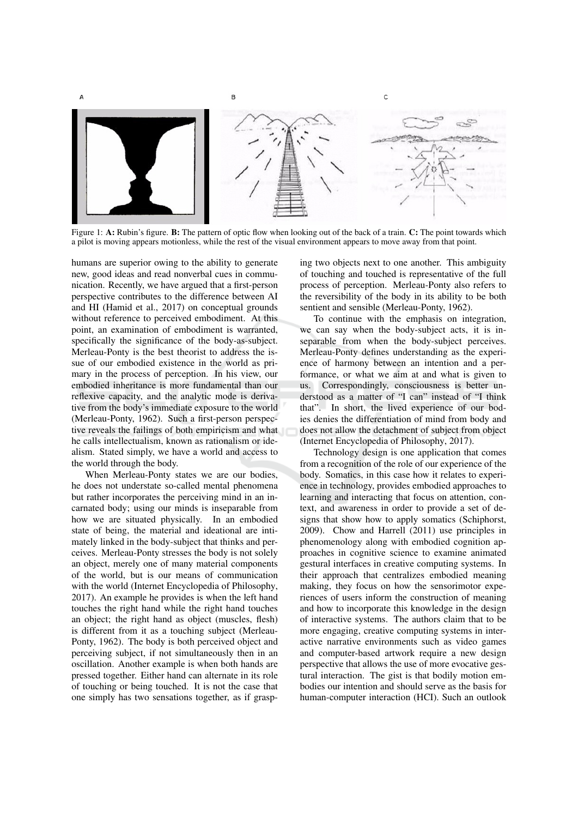



Figure 1: A: Rubin's figure. B: The pattern of optic flow when looking out of the back of a train. C: The point towards which a pilot is moving appears motionless, while the rest of the visual environment appears to move away from that point.

humans are superior owing to the ability to generate new, good ideas and read nonverbal cues in communication. Recently, we have argued that a first-person perspective contributes to the difference between AI and HI (Hamid et al., 2017) on conceptual grounds without reference to perceived embodiment. At this point, an examination of embodiment is warranted, specifically the significance of the body-as-subject. Merleau-Ponty is the best theorist to address the issue of our embodied existence in the world as primary in the process of perception. In his view, our embodied inheritance is more fundamental than our reflexive capacity, and the analytic mode is derivative from the body's immediate exposure to the world (Merleau-Ponty, 1962). Such a first-person perspective reveals the failings of both empiricism and what he calls intellectualism, known as rationalism or idealism. Stated simply, we have a world and access to the world through the body.

When Merleau-Ponty states we are our bodies. he does not understate so-called mental phenomena but rather incorporates the perceiving mind in an incarnated body; using our minds is inseparable from how we are situated physically. In an embodied state of being, the material and ideational are intimately linked in the body-subject that thinks and perceives. Merleau-Ponty stresses the body is not solely an object, merely one of many material components of the world, but is our means of communication with the world (Internet Encyclopedia of Philosophy, 2017). An example he provides is when the left hand touches the right hand while the right hand touches an object; the right hand as object (muscles, flesh) is different from it as a touching subject (Merleau-Ponty, 1962). The body is both perceived object and perceiving subject, if not simultaneously then in an oscillation. Another example is when both hands are pressed together. Either hand can alternate in its role of touching or being touched. It is not the case that one simply has two sensations together, as if grasping two objects next to one another. This ambiguity of touching and touched is representative of the full process of perception. Merleau-Ponty also refers to the reversibility of the body in its ability to be both sentient and sensible (Merleau-Ponty, 1962).

To continue with the emphasis on integration, we can say when the body-subject acts, it is inseparable from when the body-subject perceives. Merleau-Ponty defines understanding as the experience of harmony between an intention and a performance, or what we aim at and what is given to us. Correspondingly, consciousness is better understood as a matter of "I can" instead of "I think that". In short, the lived experience of our bodies denies the differentiation of mind from body and does not allow the detachment of subject from object (Internet Encyclopedia of Philosophy, 2017).

Technology design is one application that comes from a recognition of the role of our experience of the body. Somatics, in this case how it relates to experience in technology, provides embodied approaches to learning and interacting that focus on attention, context, and awareness in order to provide a set of designs that show how to apply somatics (Schiphorst, 2009). Chow and Harrell (2011) use principles in phenomenology along with embodied cognition approaches in cognitive science to examine animated gestural interfaces in creative computing systems. In their approach that centralizes embodied meaning making, they focus on how the sensorimotor experiences of users inform the construction of meaning and how to incorporate this knowledge in the design of interactive systems. The authors claim that to be more engaging, creative computing systems in interactive narrative environments such as video games and computer-based artwork require a new design perspective that allows the use of more evocative gestural interaction. The gist is that bodily motion embodies our intention and should serve as the basis for human-computer interaction (HCI). Such an outlook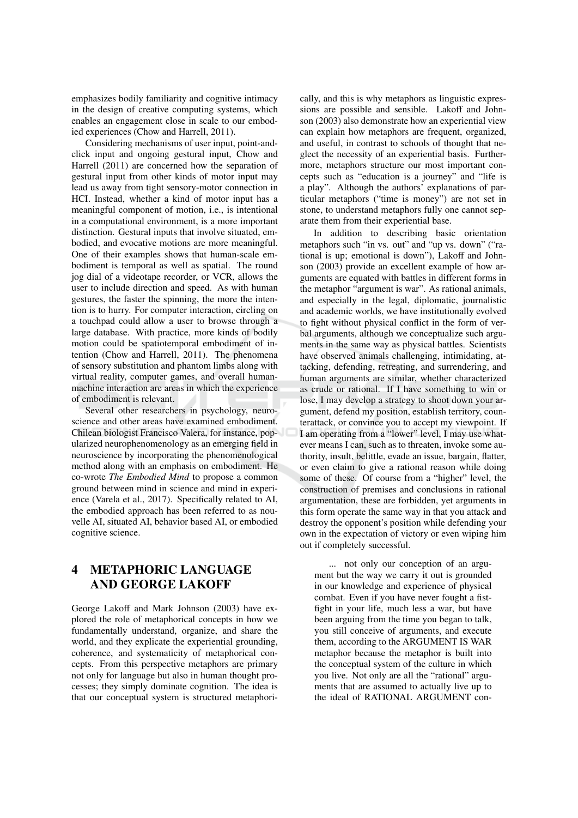emphasizes bodily familiarity and cognitive intimacy in the design of creative computing systems, which enables an engagement close in scale to our embodied experiences (Chow and Harrell, 2011).

Considering mechanisms of user input, point-andclick input and ongoing gestural input, Chow and Harrell (2011) are concerned how the separation of gestural input from other kinds of motor input may lead us away from tight sensory-motor connection in HCI. Instead, whether a kind of motor input has a meaningful component of motion, *i.e.*, is intentional in a computational environment, is a more important distinction. Gestural inputs that involve situated, embodied, and evocative motions are more meaningful. One of their examples shows that human-scale embodiment is temporal as well as spatial. The round jog dial of a videotape recorder, or VCR, allows the user to include direction and speed. As with human gestures, the faster the spinning, the more the intention is to hurry. For computer interaction, circling on a touchpad could allow a user to browse through a large database. With practice, more kinds of bodily motion could be spatiotemporal embodiment of intention (Chow and Harrell, 2011). The phenomena of sensory substitution and phantom limbs along with virtual reality, computer games, and overall humanmachine interaction are areas in which the experience of embodiment is relevant.

Several other researchers in psychology, neuroscience and other areas have examined embodiment. Chilean biologist Francisco Valera, for instance, popularized neurophenomenology as an emerging field in neuroscience by incorporating the phenomenological method along with an emphasis on embodiment. He co-wrote *The Embodied Mind* to propose a common ground between mind in science and mind in experience (Varela et al., 2017). Specifically related to AI, the embodied approach has been referred to as nouvelle AI, situated AI, behavior based AI, or embodied cognitive science.

### **METAPHORIC LANGUAGE**  $\overline{\mathbf{4}}$ **AND GEORGE LAKOFF**

George Lakoff and Mark Johnson (2003) have explored the role of metaphorical concepts in how we fundamentally understand, organize, and share the world, and they explicate the experiential grounding, coherence, and systematicity of metaphorical concepts. From this perspective metaphors are primary not only for language but also in human thought processes; they simply dominate cognition. The idea is that our conceptual system is structured metaphorically, and this is why metaphors as linguistic expressions are possible and sensible. Lakoff and Johnson (2003) also demonstrate how an experiential view can explain how metaphors are frequent, organized, and useful, in contrast to schools of thought that neglect the necessity of an experiential basis. Furthermore, metaphors structure our most important concepts such as "education is a journey" and "life is a play". Although the authors' explanations of particular metaphors ("time is money") are not set in stone, to understand metaphors fully one cannot separate them from their experiential base.

In addition to describing basic orientation metaphors such "in vs. out" and "up vs. down" ("rational is up; emotional is down"), Lakoff and Johnson (2003) provide an excellent example of how arguments are equated with battles in different forms in the metaphor "argument is war". As rational animals, and especially in the legal, diplomatic, journalistic and academic worlds, we have institutionally evolved to fight without physical conflict in the form of verbal arguments, although we conceptualize such arguments in the same way as physical battles. Scientists have observed animals challenging, intimidating, attacking, defending, retreating, and surrendering, and human arguments are similar, whether characterized as crude or rational. If I have something to win or lose, I may develop a strategy to shoot down your argument, defend my position, establish territory, counterattack, or convince you to accept my viewpoint. If I am operating from a "lower" level, I may use whatever means I can, such as to threaten, invoke some authority, insult, belittle, evade an issue, bargain, flatter, or even claim to give a rational reason while doing some of these. Of course from a "higher" level, the construction of premises and conclusions in rational argumentation, these are forbidden, yet arguments in this form operate the same way in that you attack and destroy the opponent's position while defending your own in the expectation of victory or even wiping him out if completely successful.

... not only our conception of an argument but the way we carry it out is grounded in our knowledge and experience of physical combat. Even if you have never fought a fistfight in your life, much less a war, but have been arguing from the time you began to talk, you still conceive of arguments, and execute them, according to the ARGUMENT IS WAR metaphor because the metaphor is built into the conceptual system of the culture in which you live. Not only are all the "rational" arguments that are assumed to actually live up to the ideal of RATIONAL ARGUMENT con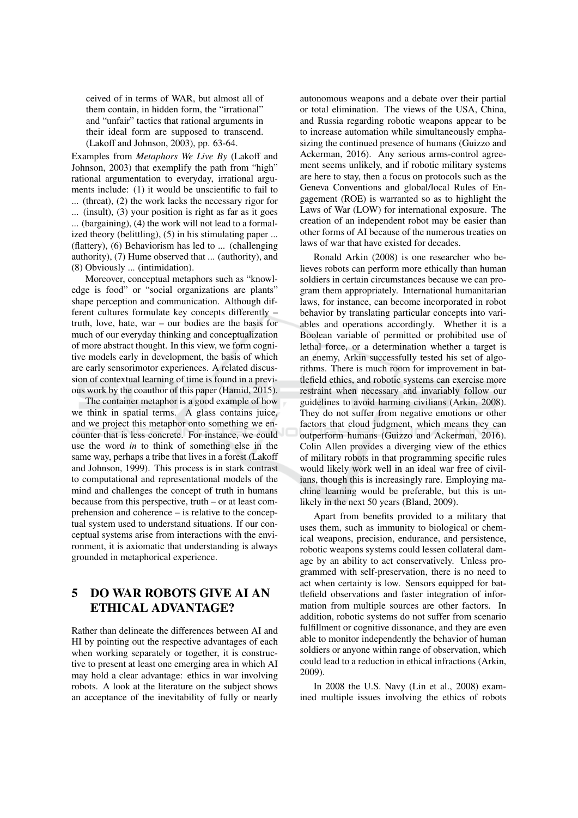ceived of in terms of WAR, but almost all of them contain, in hidden form, the "irrational" and "unfair" tactics that rational arguments in their ideal form are supposed to transcend. (Lakoff and Johnson, 2003), pp. 63-64.

Examples from Metaphors We Live By (Lakoff and Johnson, 2003) that exemplify the path from "high" rational argumentation to everyday, irrational arguments include: (1) it would be unscientific to fail to ... (threat),  $(2)$  the work lacks the necessary rigor for ... (insult),  $(3)$  your position is right as far as it goes ... (bargaining), (4) the work will not lead to a formalized theory (belittling), (5) in his stimulating paper ... (flattery), (6) Behaviorism has led to ... (challenging authority), (7) Hume observed that ... (authority), and (8) Obviously ... (intimidation).

Moreover, conceptual metaphors such as "knowledge is food" or "social organizations are plants" shape perception and communication. Although different cultures formulate key concepts differently truth, love, hate, war  $-$  our bodies are the basis for much of our everyday thinking and conceptualization of more abstract thought. In this view, we form cognitive models early in development, the basis of which are early sensorimotor experiences. A related discussion of contextual learning of time is found in a previous work by the coauthor of this paper (Hamid, 2015).

The container metaphor is a good example of how we think in spatial terms. A glass contains juice, and we project this metaphor onto something we encounter that is less concrete. For instance, we could use the word in to think of something else in the same way, perhaps a tribe that lives in a forest (Lakoff and Johnson, 1999). This process is in stark contrast to computational and representational models of the mind and challenges the concept of truth in humans because from this perspective, truth – or at least comprehension and coherence – is relative to the conceptual system used to understand situations. If our conceptual systems arise from interactions with the environment, it is axiomatic that understanding is always grounded in metaphorical experience.

### 5 **DO WAR ROBOTS GIVE AI AN ETHICAL ADVANTAGE?**

Rather than delineate the differences between AI and HI by pointing out the respective advantages of each when working separately or together, it is constructive to present at least one emerging area in which AI may hold a clear advantage: ethics in war involving robots. A look at the literature on the subject shows an acceptance of the inevitability of fully or nearly

autonomous weapons and a debate over their partial or total elimination. The views of the USA, China, and Russia regarding robotic weapons appear to be to increase automation while simultaneously emphasizing the continued presence of humans (Guizzo and Ackerman, 2016). Any serious arms-control agreement seems unlikely, and if robotic military systems are here to stay, then a focus on protocols such as the Geneva Conventions and global/local Rules of Engagement (ROE) is warranted so as to highlight the Laws of War (LOW) for international exposure. The creation of an independent robot may be easier than other forms of AI because of the numerous treaties on laws of war that have existed for decades

Ronald Arkin (2008) is one researcher who believes robots can perform more ethically than human soldiers in certain circumstances because we can program them appropriately. International humanitarian laws, for instance, can become incorporated in robot behavior by translating particular concepts into variables and operations accordingly. Whether it is a Boolean variable of permitted or prohibited use of lethal force, or a determination whether a target is an enemy, Arkin successfully tested his set of algorithms. There is much room for improvement in battlefield ethics, and robotic systems can exercise more restraint when necessary and invariably follow our guidelines to avoid harming civilians (Arkin, 2008). They do not suffer from negative emotions or other factors that cloud judgment, which means they can outperform humans (Guizzo and Ackerman, 2016). Colin Allen provides a diverging view of the ethics of military robots in that programming specific rules would likely work well in an ideal war free of civilians, though this is increasingly rare. Employing machine learning would be preferable, but this is unlikely in the next 50 years (Bland, 2009).

Apart from benefits provided to a military that uses them, such as immunity to biological or chemical weapons, precision, endurance, and persistence, robotic weapons systems could lessen collateral damage by an ability to act conservatively. Unless programmed with self-preservation, there is no need to act when certainty is low. Sensors equipped for battlefield observations and faster integration of information from multiple sources are other factors. In addition, robotic systems do not suffer from scenario fulfillment or cognitive dissonance, and they are even able to monitor independently the behavior of human soldiers or anyone within range of observation, which could lead to a reduction in ethical infractions (Arkin, 2009).

In 2008 the U.S. Navy (Lin et al., 2008) examined multiple issues involving the ethics of robots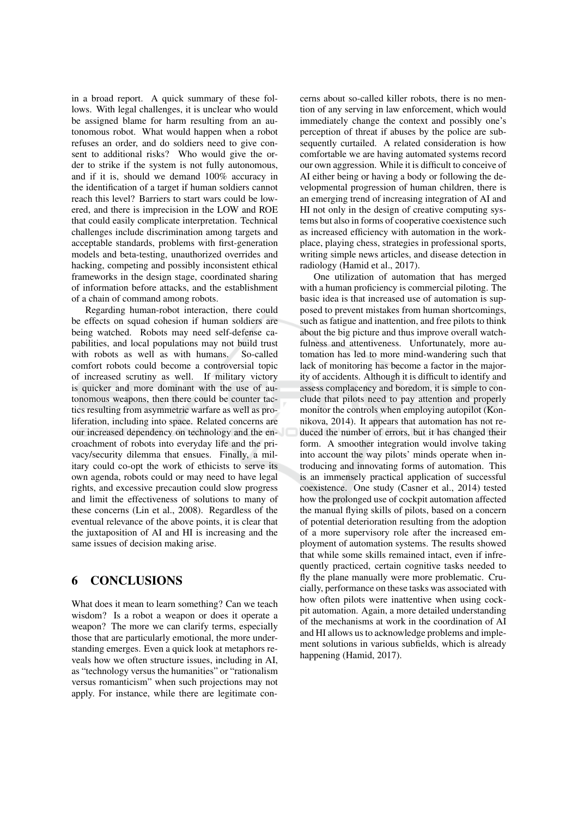in a broad report. A quick summary of these follows. With legal challenges, it is unclear who would be assigned blame for harm resulting from an autonomous robot. What would happen when a robot refuses an order, and do soldiers need to give consent to additional risks? Who would give the order to strike if the system is not fully autonomous, and if it is, should we demand 100% accuracy in the identification of a target if human soldiers cannot reach this level? Barriers to start wars could be lowered, and there is imprecision in the LOW and ROE that could easily complicate interpretation. Technical challenges include discrimination among targets and acceptable standards, problems with first-generation models and beta-testing, unauthorized overrides and hacking, competing and possibly inconsistent ethical frameworks in the design stage, coordinated sharing of information before attacks, and the establishment of a chain of command among robots.

Regarding human-robot interaction, there could be effects on squad cohesion if human soldiers are being watched. Robots may need self-defense capabilities, and local populations may not build trust with robots as well as with humans. So-called comfort robots could become a controversial topic of increased scrutiny as well. If military victory is quicker and more dominant with the use of autonomous weapons, then there could be counter tactics resulting from asymmetric warfare as well as proliferation, including into space. Related concerns are our increased dependency on technology and the encroachment of robots into everyday life and the privacy/security dilemma that ensues. Finally, a military could co-opt the work of ethicists to serve its own agenda, robots could or may need to have legal rights, and excessive precaution could slow progress and limit the effectiveness of solutions to many of these concerns (Lin et al., 2008). Regardless of the eventual relevance of the above points, it is clear that the juxtaposition of AI and HI is increasing and the same issues of decision making arise.

#### 6 **CONCLUSIONS**

What does it mean to learn something? Can we teach wisdom? Is a robot a weapon or does it operate a weapon? The more we can clarify terms, especially those that are particularly emotional, the more understanding emerges. Even a quick look at metaphors reveals how we often structure issues, including in AI, as "technology versus the humanities" or "rationalism" versus romanticism" when such projections may not apply. For instance, while there are legitimate concerns about so-called killer robots, there is no mention of any serving in law enforcement, which would immediately change the context and possibly one's perception of threat if abuses by the police are subsequently curtailed. A related consideration is how comfortable we are having automated systems record our own aggression. While it is difficult to conceive of AI either being or having a body or following the developmental progression of human children, there is an emerging trend of increasing integration of AI and HI not only in the design of creative computing systems but also in forms of cooperative coexistence such as increased efficiency with automation in the workplace, playing chess, strategies in professional sports, writing simple news articles, and disease detection in radiology (Hamid et al., 2017).

One utilization of automation that has merged with a human proficiency is commercial piloting. The basic idea is that increased use of automation is supposed to prevent mistakes from human shortcomings, such as fatigue and inattention, and free pilots to think about the big picture and thus improve overall watchfulness and attentiveness. Unfortunately, more automation has led to more mind-wandering such that lack of monitoring has become a factor in the majority of accidents. Although it is difficult to identify and assess complacency and boredom, it is simple to conclude that pilots need to pay attention and properly monitor the controls when employing autopilot (Konnikova, 2014). It appears that automation has not reduced the number of errors, but it has changed their form. A smoother integration would involve taking into account the way pilots' minds operate when introducing and innovating forms of automation. This is an immensely practical application of successful coexistence. One study (Casner et al., 2014) tested how the prolonged use of cockpit automation affected the manual flying skills of pilots, based on a concern of potential deterioration resulting from the adoption of a more supervisory role after the increased employment of automation systems. The results showed that while some skills remained intact, even if infrequently practiced, certain cognitive tasks needed to fly the plane manually were more problematic. Crucially, performance on these tasks was associated with how often pilots were inattentive when using cockpit automation. Again, a more detailed understanding of the mechanisms at work in the coordination of AI and HI allows us to acknowledge problems and implement solutions in various subfields, which is already happening (Hamid, 2017).